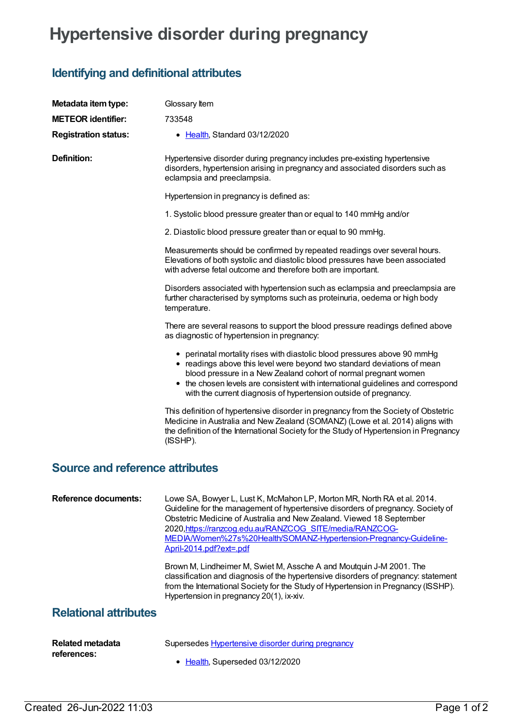## **Hypertensive disorder during pregnancy**

## **Identifying and definitional attributes**

| Metadata item type:                    | Glossary Item                                                                                                                                                                                                                                                                                                                                                                                  |
|----------------------------------------|------------------------------------------------------------------------------------------------------------------------------------------------------------------------------------------------------------------------------------------------------------------------------------------------------------------------------------------------------------------------------------------------|
| <b>METEOR identifier:</b>              | 733548                                                                                                                                                                                                                                                                                                                                                                                         |
|                                        |                                                                                                                                                                                                                                                                                                                                                                                                |
| <b>Registration status:</b>            | • Health, Standard 03/12/2020                                                                                                                                                                                                                                                                                                                                                                  |
| <b>Definition:</b>                     | Hypertensive disorder during pregnancy includes pre-existing hypertensive<br>disorders, hypertension arising in pregnancy and associated disorders such as<br>eclampsia and preeclampsia.                                                                                                                                                                                                      |
|                                        | Hypertension in pregnancy is defined as:                                                                                                                                                                                                                                                                                                                                                       |
|                                        | 1. Systolic blood pressure greater than or equal to 140 mmHg and/or                                                                                                                                                                                                                                                                                                                            |
|                                        | 2. Diastolic blood pressure greater than or equal to 90 mmHg.                                                                                                                                                                                                                                                                                                                                  |
|                                        | Measurements should be confirmed by repeated readings over several hours.<br>Elevations of both systolic and diastolic blood pressures have been associated<br>with adverse fetal outcome and therefore both are important.                                                                                                                                                                    |
|                                        | Disorders associated with hypertension such as eclampsia and preeclampsia are<br>further characterised by symptoms such as proteinuria, oedema or high body<br>temperature.                                                                                                                                                                                                                    |
|                                        | There are several reasons to support the blood pressure readings defined above<br>as diagnostic of hypertension in pregnancy:                                                                                                                                                                                                                                                                  |
|                                        | • perinatal mortality rises with diastolic blood pressures above 90 mmHg<br>• readings above this level were beyond two standard deviations of mean<br>blood pressure in a New Zealand cohort of normal pregnant women<br>• the chosen levels are consistent with international guidelines and correspond<br>with the current diagnosis of hypertension outside of pregnancy.                  |
|                                        | This definition of hypertensive disorder in pregnancy from the Society of Obstetric<br>Medicine in Australia and New Zealand (SOMANZ) (Lowe et al. 2014) aligns with<br>the definition of the International Society for the Study of Hypertension in Pregnancy<br>(ISSHP).                                                                                                                     |
| <b>Source and reference attributes</b> |                                                                                                                                                                                                                                                                                                                                                                                                |
| <b>Reference documents:</b>            | Lowe SA, Bowyer L, Lust K, McMahon LP, Morton MR, North RA et al. 2014.<br>Guideline for the management of hypertensive disorders of pregnancy. Society of<br>Obstetric Medicine of Australia and New Zealand. Viewed 18 September<br>2020, https://ranzcog.edu.au/RANZCOG SITE/media/RANZCOG-<br>MEDIA/Women%27s%20Health/SOMANZ-Hypertension-Pregnancy-Guideline-<br>April-2014.pdf?ext=.pdf |
|                                        | Brown M, Lindheimer M, Swiet M, Assche A and Moutquin J-M 2001. The<br>classification and diagnosis of the hypertensive disorders of pregnancy: statement<br>from the International Society for the Study of Hypertension in Pregnancy (ISSHP).<br>Hypertension in pregnancy 20(1), ix-xiv.                                                                                                    |
| <b>Relational attributes</b>           |                                                                                                                                                                                                                                                                                                                                                                                                |
|                                        |                                                                                                                                                                                                                                                                                                                                                                                                |

| Related metadata | Supersedes Hypertensive disorder during pregnancy |
|------------------|---------------------------------------------------|
| references:      |                                                   |
|                  | • Health, Superseded 03/12/2020                   |